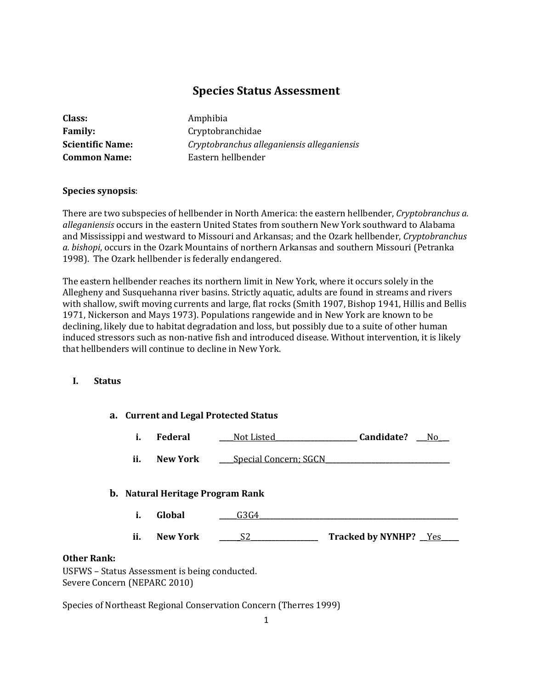# **Species Status Assessment**

| Class:                  |
|-------------------------|
| <b>Family:</b>          |
| <b>Scientific Name:</b> |
| <b>Common Name:</b>     |

**Class:** Amphibia **Family:** Cryptobranchidae **Scientific Name:** *Cryptobranchus alleganiensis alleganiensis* **Common Name:** Eastern hellbender

#### **Species synopsis**:

There are two subspecies of hellbender in North America: the eastern hellbender, *Cryptobranchus a. alleganiensis* occurs in the eastern United States from southern New York southward to Alabama and Mississippi and westward to Missouri and Arkansas; and the Ozark hellbender, *Cryptobranchus a. bishopi*, occurs in the Ozark Mountains of northern Arkansas and southern Missouri (Petranka 1998). The Ozark hellbender is federally endangered.

The eastern hellbender reaches its northern limit in New York, where it occurs solely in the Allegheny and Susquehanna river basins. Strictly aquatic, adults are found in streams and rivers with shallow, swift moving currents and large, flat rocks (Smith 1907, Bishop 1941, Hillis and Bellis 1971, Nickerson and Mays 1973). Populations rangewide and in New York are known to be declining, likely due to habitat degradation and loss, but possibly due to a suite of other human induced stressors such as non-native fish and introduced disease. Without intervention, it is likely that hellbenders will continue to decline in New York.

#### **I. Status**

# **a. Current and Legal Protected Status i. Federal \_\_\_\_**Not Listed**\_\_\_\_\_\_\_\_\_\_\_\_\_\_\_\_\_\_\_\_\_\_\_ Candidate? \_\_\_**No\_**\_\_ ii. New York Special Concern; SGCN b. Natural Heritage Program Rank**

- **i. Global \_\_\_\_\_**G3G4**\_\_\_\_\_\_\_\_\_\_\_\_\_\_\_\_\_\_\_\_\_\_\_\_\_\_\_\_\_\_\_\_\_\_\_\_\_\_\_\_\_\_\_\_\_\_\_\_\_\_\_\_\_\_\_\_**
- **ii. New York \_\_\_\_\_\_**S2**\_\_\_\_\_\_\_\_\_\_\_\_\_\_\_\_\_\_\_ Tracked by NYNHP? \_\_**Yes**\_\_\_\_\_**

# **Other Rank:**

USFWS – Status Assessment is being conducted. Severe Concern (NEPARC 2010)

Species of Northeast Regional Conservation Concern (Therres 1999)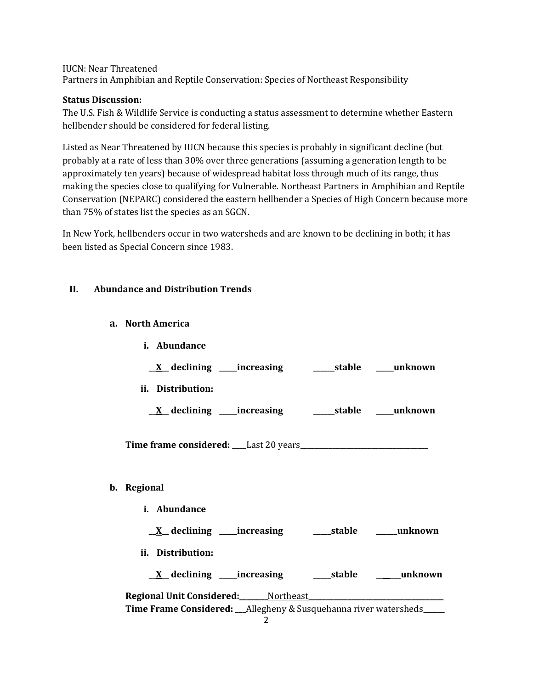#### IUCN: Near Threatened

Partners in Amphibian and Reptile Conservation: Species of Northeast Responsibility

#### **Status Discussion:**

The U.S. Fish & Wildlife Service is conducting a status assessment to determine whether Eastern hellbender should be considered for federal listing.

Listed as Near Threatened by IUCN because this species is probably in significant decline (but probably at a rate of less than 30% over three generations (assuming a generation length to be approximately ten years) because of widespread habitat loss through much of its range, thus making the species close to qualifying for Vulnerable. Northeast Partners in Amphibian and Reptile Conservation (NEPARC) considered the eastern hellbender a Species of High Concern because more than 75% of states list the species as an SGCN.

In New York, hellbenders occur in two watersheds and are known to be declining in both; it has been listed as Special Concern since 1983.

#### **II. Abundance and Distribution Trends**

#### **a. North America**

**b**.

| i. Abundance                                                      |  |
|-------------------------------------------------------------------|--|
| <u>X</u> declining ____increasing __________stable _____unknown   |  |
| ii. Distribution:                                                 |  |
|                                                                   |  |
|                                                                   |  |
| Regional                                                          |  |
| i. Abundance                                                      |  |
|                                                                   |  |
| ii. Distribution:                                                 |  |
| <u>X</u> declining ____increasing _______stable ______unknown     |  |
| Regional Unit Considered: ______ Northeast _____________          |  |
| Time Frame Considered: __Allegheny & Susquehanna river watersheds |  |
| $\overline{2}$                                                    |  |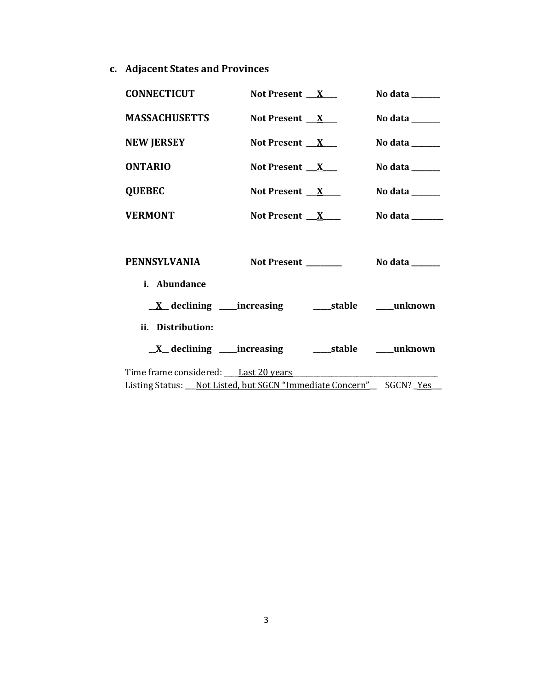**c. Adjacent States and Provinces**

| <b>CONNECTICUT</b>                                                                                             | Not Present $X$     | No data $\_\_\_\_\_\_\_\_\_\_\_\$                                                |
|----------------------------------------------------------------------------------------------------------------|---------------------|----------------------------------------------------------------------------------|
| <b>MASSACHUSETTS</b>                                                                                           | Not Present $X$     | No data $\frac{1}{\sqrt{1-\frac{1}{2}}\cdot\frac{1}{\sqrt{1-\frac{1}{2}}}}$      |
| <b>NEW JERSEY</b>                                                                                              | Not Present $X_{-}$ | No data $\frac{1}{\sqrt{1-\frac{1}{2}}\cdot\frac{1}{\sqrt{1-\frac{1}{2}}}}$      |
| <b>ONTARIO</b>                                                                                                 | Not Present $X_{-}$ | No data $\frac{1}{\sqrt{1-\frac{1}{2}}\cdot\frac{1}{\sqrt{1-\frac{1}{2}}}}$      |
| <b>QUEBEC</b>                                                                                                  | Not Present $X$     | No data $\_\_\_\_\_\_\_\_\_\_\_\_\_\_\_\_\_\_\_\_\_\_\_\_\_\_\_\_\_\_\_\_\_\_\_$ |
| <b>VERMONT</b>                                                                                                 | Not Present $X$     | No data ______                                                                   |
| PENNSYLVANIA<br>i. Abundance                                                                                   |                     | Not Present ________ No data _____                                               |
| <u>X</u> declining ____increasing ______stable ____unknown                                                     |                     |                                                                                  |
| ii. Distribution:                                                                                              |                     |                                                                                  |
| <u>X</u> declining ____increasing _______stable _____unknown                                                   |                     |                                                                                  |
| Time frame considered: Last 20 years Manual Allen Manual Manual Allen Manual Manual Manual Manual Manual Manua |                     |                                                                                  |
| Listing Status: Not Listed, but SGCN "Immediate Concern" SGCN? Yes                                             |                     |                                                                                  |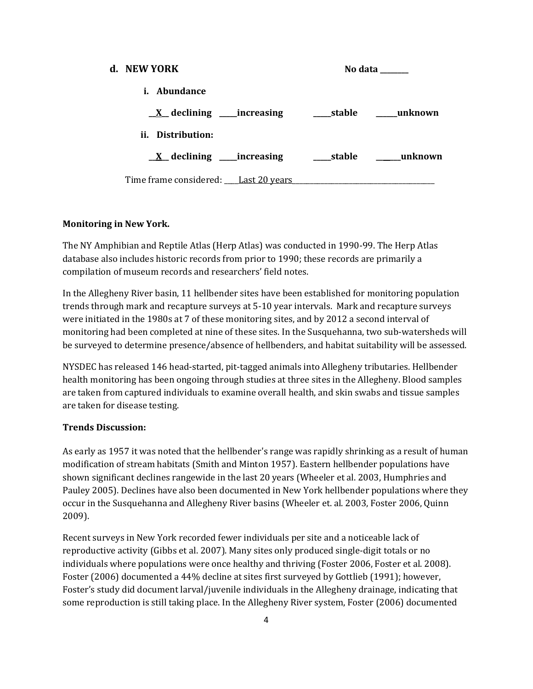# **d. NEW YORK No data \_\_\_\_\_\_\_\_ i. Abundance \_\_X\_\_ declining \_\_\_\_\_increasing \_\_\_\_\_stable \_\_\_\_\_\_unknown ii. Distribution: \_\_X\_\_ declining \_\_\_\_\_increasing \_\_\_\_\_stable \_\_\_\_\_\_\_unknown** Time frame considered: Last 20 years

#### **Monitoring in New York.**

The NY Amphibian and Reptile Atlas (Herp Atlas) was conducted in 1990-99. The Herp Atlas database also includes historic records from prior to 1990; these records are primarily a compilation of museum records and researchers' field notes.

In the Allegheny River basin, 11 hellbender sites have been established for monitoring population trends through mark and recapture surveys at 5-10 year intervals. Mark and recapture surveys were initiated in the 1980s at 7 of these monitoring sites, and by 2012 a second interval of monitoring had been completed at nine of these sites. In the Susquehanna, two sub-watersheds will be surveyed to determine presence/absence of hellbenders, and habitat suitability will be assessed.

NYSDEC has released 146 head-started, pit-tagged animals into Allegheny tributaries. Hellbender health monitoring has been ongoing through studies at three sites in the Allegheny. Blood samples are taken from captured individuals to examine overall health, and skin swabs and tissue samples are taken for disease testing.

#### **Trends Discussion:**

As early as 1957 it was noted that the hellbender's range was rapidly shrinking as a result of human modification of stream habitats (Smith and Minton 1957). Eastern hellbender populations have shown significant declines rangewide in the last 20 years (Wheeler et al. 2003, Humphries and Pauley 2005). Declines have also been documented in New York hellbender populations where they occur in the Susquehanna and Allegheny River basins (Wheeler et. al. 2003, Foster 2006, Quinn 2009).

Recent surveys in New York recorded fewer individuals per site and a noticeable lack of reproductive activity (Gibbs et al. 2007). Many sites only produced single-digit totals or no individuals where populations were once healthy and thriving (Foster 2006, Foster et al. 2008). Foster (2006) documented a 44% decline at sites first surveyed by Gottlieb (1991); however, Foster's study did document larval/juvenile individuals in the Allegheny drainage, indicating that some reproduction is still taking place. In the Allegheny River system, Foster (2006) documented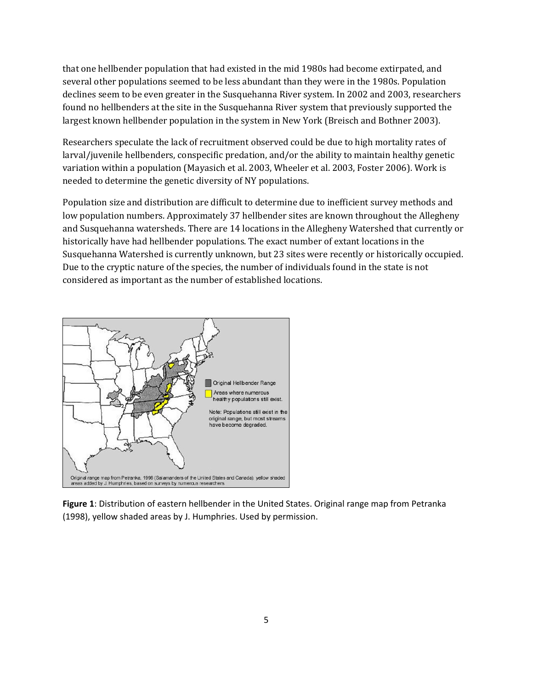that one hellbender population that had existed in the mid 1980s had become extirpated, and several other populations seemed to be less abundant than they were in the 1980s. Population declines seem to be even greater in the Susquehanna River system. In 2002 and 2003, researchers found no hellbenders at the site in the Susquehanna River system that previously supported the largest known hellbender population in the system in New York (Breisch and Bothner 2003).

Researchers speculate the lack of recruitment observed could be due to high mortality rates of larval/juvenile hellbenders, conspecific predation, and/or the ability to maintain healthy genetic variation within a population (Mayasich et al. 2003, Wheeler et al. 2003, Foster 2006). Work is needed to determine the genetic diversity of NY populations.

Population size and distribution are difficult to determine due to inefficient survey methods and low population numbers. Approximately 37 hellbender sites are known throughout the Allegheny and Susquehanna watersheds. There are 14 locations in the Allegheny Watershed that currently or historically have had hellbender populations. The exact number of extant locations in the Susquehanna Watershed is currently unknown, but 23 sites were recently or historically occupied. Due to the cryptic nature of the species, the number of individuals found in the state is not considered as important as the number of established locations.



**Figure 1**: Distribution of eastern hellbender in the United States. Original range map from Petranka (1998), yellow shaded areas by J. Humphries. Used by permission.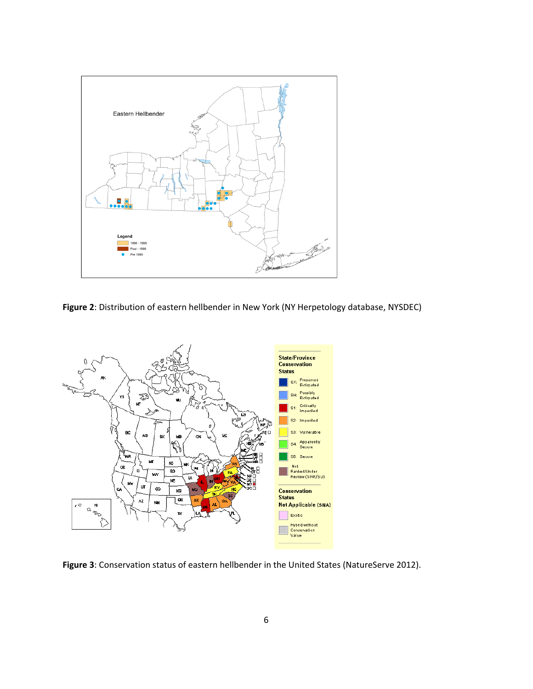

**Figure 2**: Distribution of eastern hellbender in New York (NY Herpetology database, NYSDEC)



**Figure 3**: Conservation status of eastern hellbender in the United States (NatureServe 2012).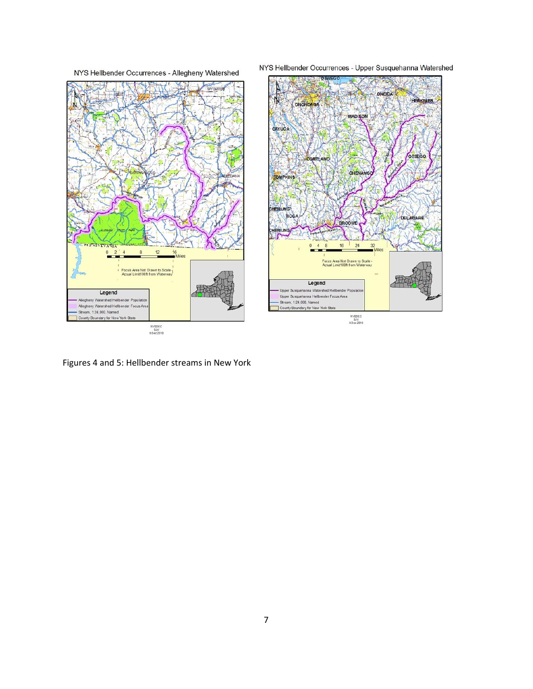



NYS Hellbender Occurrences - Upper Susquehanna Watershed



Figures 4 and 5: Hellbender streams in New York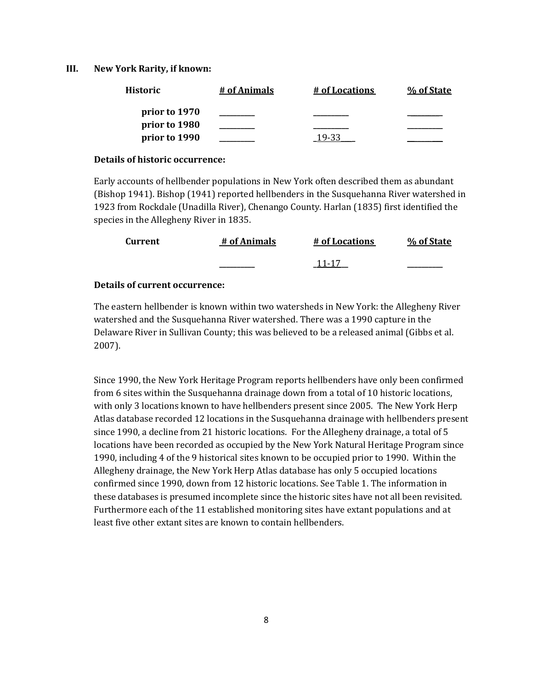#### **III. New York Rarity, if known:**

| <b>Historic</b> | # of Animals | # of Locations | % of State |
|-----------------|--------------|----------------|------------|
| prior to 1970   |              |                |            |
| prior to 1980   |              |                |            |
| prior to 1990   |              |                |            |

#### **Details of historic occurrence:**

Early accounts of hellbender populations in New York often described them as abundant (Bishop 1941). Bishop (1941) reported hellbenders in the Susquehanna River watershed in 1923 from Rockdale (Unadilla River), Chenango County. Harlan (1835) first identified the species in the Allegheny River in 1835.

| <b>Current</b> | # of Animals | # of Locations | % of State |
|----------------|--------------|----------------|------------|
|                |              | 11-17          |            |

#### **Details of current occurrence:**

The eastern hellbender is known within two watersheds in New York: the Allegheny River watershed and the Susquehanna River watershed. There was a 1990 capture in the Delaware River in Sullivan County; this was believed to be a released animal (Gibbs et al. 2007).

Since 1990, the New York Heritage Program reports hellbenders have only been confirmed from 6 sites within the Susquehanna drainage down from a total of 10 historic locations, with only 3 locations known to have hellbenders present since 2005. The New York Herp Atlas database recorded 12 locations in the Susquehanna drainage with hellbenders present since 1990, a decline from 21 historic locations. For the Allegheny drainage, a total of 5 locations have been recorded as occupied by the New York Natural Heritage Program since 1990, including 4 of the 9 historical sites known to be occupied prior to 1990. Within the Allegheny drainage, the New York Herp Atlas database has only 5 occupied locations confirmed since 1990, down from 12 historic locations. See Table 1. The information in these databases is presumed incomplete since the historic sites have not all been revisited. Furthermore each of the 11 established monitoring sites have extant populations and at least five other extant sites are known to contain hellbenders.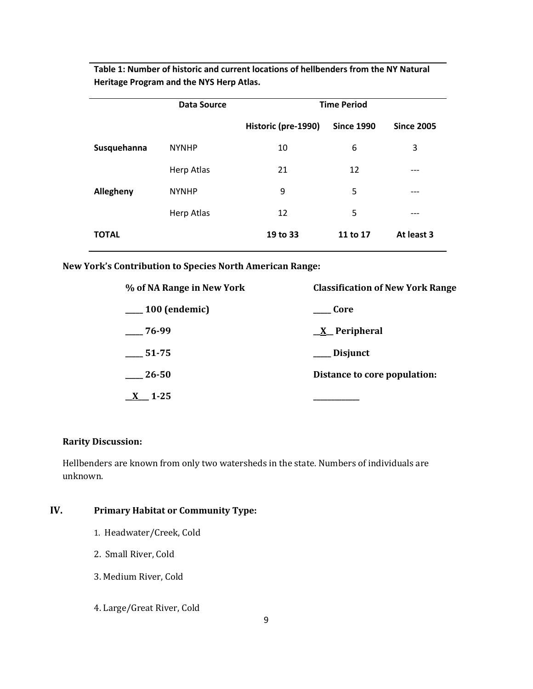|              | <b>Data Source</b> | <b>Time Period</b>  |                   |                   |
|--------------|--------------------|---------------------|-------------------|-------------------|
|              |                    | Historic (pre-1990) | <b>Since 1990</b> | <b>Since 2005</b> |
| Susquehanna  | <b>NYNHP</b>       | 10                  | 6                 | 3                 |
|              | Herp Atlas         | 21                  | 12                |                   |
| Allegheny    | <b>NYNHP</b>       | 9                   | 5                 | ---               |
|              | Herp Atlas         | 12                  | 5                 | ---               |
| <b>TOTAL</b> |                    | 19 to 33            | 11 to 17          | At least 3        |

**Table 1: Number of historic and current locations of hellbenders from the NY Natural Heritage Program and the NYS Herp Atlas.**

**New York's Contribution to Species North American Range:**

| % of NA Range in New York | <b>Classification of New York Range</b> |
|---------------------------|-----------------------------------------|
| $\_\_100$ (endemic)       | Core                                    |
| $-76-99$                  | $X$ Peripheral                          |
| $\frac{1}{2}$ 51-75       | ___ Disjunct                            |
| 26-50                     | Distance to core population:            |
| $\underline{X}$ 1-25      |                                         |

# **Rarity Discussion:**

Hellbenders are known from only two watersheds in the state. Numbers of individuals are unknown.

# **IV. Primary Habitat or Community Type:**

- 1. Headwater/Creek, Cold
- 2. Small River, Cold
- 3. Medium River, Cold
- 4. Large/Great River, Cold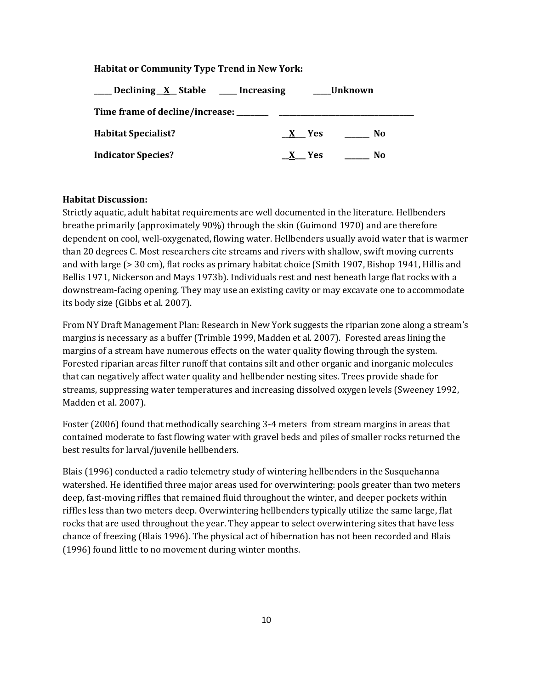#### **Habitat or Community Type Trend in New York:**

| _Declining_X_Stable ____Increasing |         | Unknown |
|------------------------------------|---------|---------|
|                                    |         |         |
| <b>Habitat Specialist?</b>         | $X$ Yes | No.     |
| <b>Indicator Species?</b>          | X Yes   | No      |

#### **Habitat Discussion:**

Strictly aquatic, adult habitat requirements are well documented in the literature. Hellbenders breathe primarily (approximately 90%) through the skin (Guimond 1970) and are therefore dependent on cool, well-oxygenated, flowing water. Hellbenders usually avoid water that is warmer than 20 degrees C. Most researchers cite streams and rivers with shallow, swift moving currents and with large (> 30 cm), flat rocks as primary habitat choice (Smith 1907, Bishop 1941, Hillis and Bellis 1971, Nickerson and Mays 1973b). Individuals rest and nest beneath large flat rocks with a downstream-facing opening. They may use an existing cavity or may excavate one to accommodate its body size (Gibbs et al. 2007).

From NY Draft Management Plan: Research in New York suggests the riparian zone along a stream's margins is necessary as a buffer (Trimble 1999, Madden et al. 2007). Forested areas lining the margins of a stream have numerous effects on the water quality flowing through the system. Forested riparian areas filter runoff that contains silt and other organic and inorganic molecules that can negatively affect water quality and hellbender nesting sites. Trees provide shade for streams, suppressing water temperatures and increasing dissolved oxygen levels (Sweeney 1992, Madden et al. 2007).

Foster (2006) found that methodically searching 3-4 meters from stream margins in areas that contained moderate to fast flowing water with gravel beds and piles of smaller rocks returned the best results for larval/juvenile hellbenders.

Blais (1996) conducted a radio telemetry study of wintering hellbenders in the Susquehanna watershed. He identified three major areas used for overwintering: pools greater than two meters deep, fast-moving riffles that remained fluid throughout the winter, and deeper pockets within riffles less than two meters deep. Overwintering hellbenders typically utilize the same large, flat rocks that are used throughout the year. They appear to select overwintering sites that have less chance of freezing (Blais 1996). The physical act of hibernation has not been recorded and Blais (1996) found little to no movement during winter months.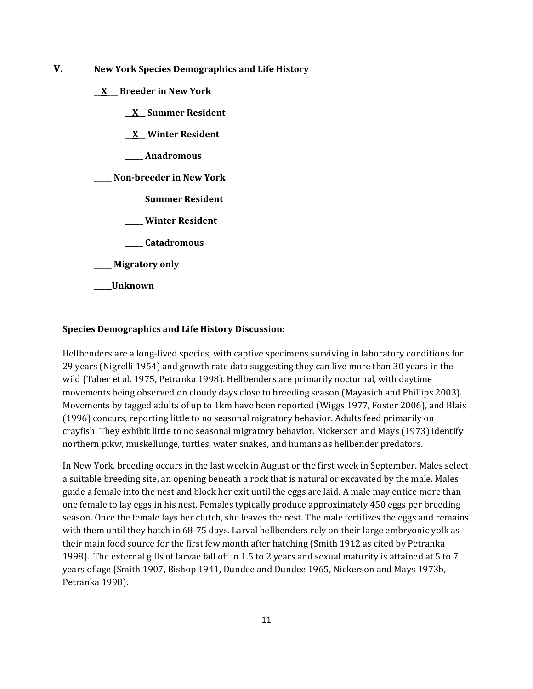- **V. New York Species Demographics and Life History**
	- **\_\_X\_\_\_ Breeder in New York**
		- **\_\_X\_\_ Summer Resident**
		- **\_\_X\_\_ Winter Resident**
		- **\_\_\_\_\_ Anadromous**

**\_\_\_\_\_ Non-breeder in New York**

- **\_\_\_\_\_ Summer Resident**
- **\_\_\_\_\_ Winter Resident**
- **\_\_\_\_\_ Catadromous**
- **\_\_\_\_\_ Migratory only**
- **\_\_\_\_\_Unknown**

#### **Species Demographics and Life History Discussion:**

Hellbenders are a long-lived species, with captive specimens surviving in laboratory conditions for 29 years (Nigrelli 1954) and growth rate data suggesting they can live more than 30 years in the wild (Taber et al. 1975, Petranka 1998). Hellbenders are primarily nocturnal, with daytime movements being observed on cloudy days close to breeding season (Mayasich and Phillips 2003). Movements by tagged adults of up to 1km have been reported (Wiggs 1977, Foster 2006), and Blais (1996) concurs, reporting little to no seasonal migratory behavior. Adults feed primarily on crayfish. They exhibit little to no seasonal migratory behavior. Nickerson and Mays (1973) identify northern pikw, muskellunge, turtles, water snakes, and humans as hellbender predators.

In New York, breeding occurs in the last week in August or the first week in September. Males select a suitable breeding site, an opening beneath a rock that is natural or excavated by the male. Males guide a female into the nest and block her exit until the eggs are laid. A male may entice more than one female to lay eggs in his nest. Females typically produce approximately 450 eggs per breeding season. Once the female lays her clutch, she leaves the nest. The male fertilizes the eggs and remains with them until they hatch in 68-75 days. Larval hellbenders rely on their large embryonic yolk as their main food source for the first few month after hatching (Smith 1912 as cited by Petranka 1998). The external gills of larvae fall off in 1.5 to 2 years and sexual maturity is attained at 5 to 7 years of age (Smith 1907, Bishop 1941, Dundee and Dundee 1965, Nickerson and Mays 1973b, Petranka 1998).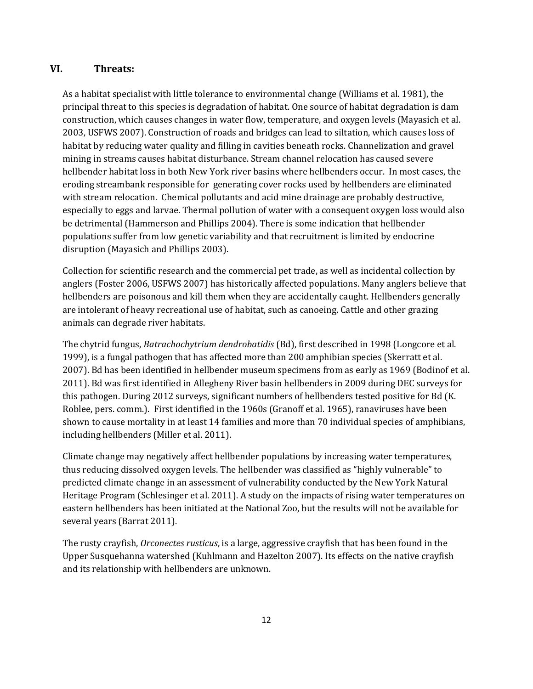# **VI. Threats:**

As a habitat specialist with little tolerance to environmental change (Williams et al. 1981), the principal threat to this species is degradation of habitat. One source of habitat degradation is dam construction, which causes changes in water flow, temperature, and oxygen levels (Mayasich et al. 2003, USFWS 2007). Construction of roads and bridges can lead to siltation, which causes loss of habitat by reducing water quality and filling in cavities beneath rocks. Channelization and gravel mining in streams causes habitat disturbance. Stream channel relocation has caused severe hellbender habitat loss in both New York river basins where hellbenders occur. In most cases, the eroding streambank responsible for generating cover rocks used by hellbenders are eliminated with stream relocation. Chemical pollutants and acid mine drainage are probably destructive, especially to eggs and larvae. Thermal pollution of water with a consequent oxygen loss would also be detrimental (Hammerson and Phillips 2004). There is some indication that hellbender populations suffer from low genetic variability and that recruitment is limited by endocrine disruption (Mayasich and Phillips 2003).

Collection for scientific research and the commercial pet trade, as well as incidental collection by anglers (Foster 2006, USFWS 2007) has historically affected populations. Many anglers believe that hellbenders are poisonous and kill them when they are accidentally caught. Hellbenders generally are intolerant of heavy recreational use of habitat, such as canoeing. Cattle and other grazing animals can degrade river habitats.

The chytrid fungus, *Batrachochytrium dendrobatidis* (Bd), first described in 1998 (Longcore et al. 1999), is a fungal pathogen that has affected more than 200 amphibian species (Skerratt et al. 2007). Bd has been identified in hellbender museum specimens from as early as 1969 (Bodinof et al. 2011). Bd was first identified in Allegheny River basin hellbenders in 2009 during DEC surveys for this pathogen. During 2012 surveys, significant numbers of hellbenders tested positive for Bd (K. Roblee, pers. comm.). First identified in the 1960s (Granoff et al. 1965), ranaviruses have been shown to cause mortality in at least 14 families and more than 70 individual species of amphibians, including hellbenders (Miller et al. 2011).

Climate change may negatively affect hellbender populations by increasing water temperatures, thus reducing dissolved oxygen levels. The hellbender was classified as "highly vulnerable" to predicted climate change in an assessment of vulnerability conducted by the New York Natural Heritage Program (Schlesinger et al. 2011). A study on the impacts of rising water temperatures on eastern hellbenders has been initiated at the National Zoo, but the results will not be available for several years (Barrat 2011).

The rusty crayfish, *Orconectes rusticus*, is a large, aggressive crayfish that has been found in the Upper Susquehanna watershed (Kuhlmann and Hazelton 2007). Its effects on the native crayfish and its relationship with hellbenders are unknown.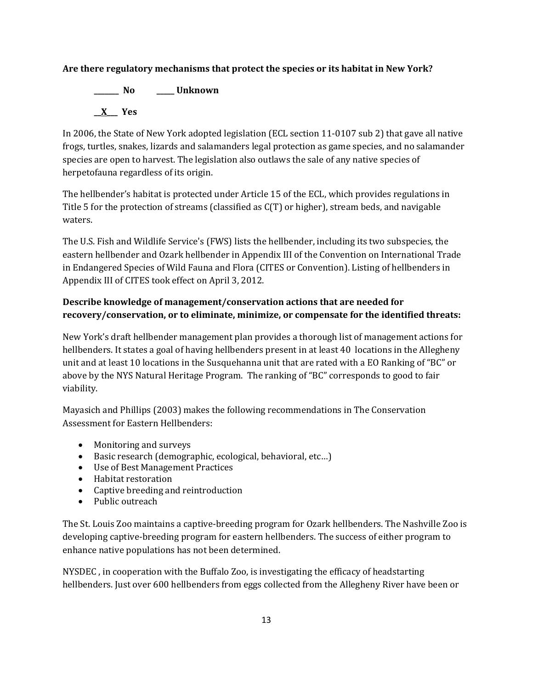# **Are there regulatory mechanisms that protect the species or its habitat in New York?**

**\_\_\_\_\_\_\_ No \_\_\_\_\_ Unknown \_\_X\_\_\_ Yes** 

In 2006, the State of New York adopted legislation (ECL section 11-0107 sub 2) that gave all native frogs, turtles, snakes, lizards and salamanders legal protection as game species, and no salamander species are open to harvest. The legislation also outlaws the sale of any native species of herpetofauna regardless of its origin.

The hellbender's habitat is protected under Article 15 of the ECL, which provides regulations in Title 5 for the protection of streams (classified as C(T) or higher), stream beds, and navigable waters.

The U.S. Fish and Wildlife Service's (FWS) lists the hellbender, including its two subspecies, the eastern hellbender and Ozark hellbender in Appendix III of the Convention on International Trade in Endangered Species of Wild Fauna and Flora (CITES or Convention). Listing of hellbenders in Appendix III of CITES took effect on April 3, 2012.

# **Describe knowledge of management/conservation actions that are needed for recovery/conservation, or to eliminate, minimize, or compensate for the identified threats:**

New York's draft hellbender management plan provides a thorough list of management actions for hellbenders. It states a goal of having hellbenders present in at least 40 locations in the Allegheny unit and at least 10 locations in the Susquehanna unit that are rated with a EO Ranking of "BC" or above by the NYS Natural Heritage Program. The ranking of "BC" corresponds to good to fair viability.

Mayasich and Phillips (2003) makes the following recommendations in The Conservation Assessment for Eastern Hellbenders:

- Monitoring and surveys
- Basic research (demographic, ecological, behavioral, etc…)
- Use of Best Management Practices
- Habitat restoration
- Captive breeding and reintroduction
- Public outreach

The St. Louis Zoo maintains a captive-breeding program for Ozark hellbenders. The Nashville Zoo is developing captive-breeding program for eastern hellbenders. The success of either program to enhance native populations has not been determined.

NYSDEC , in cooperation with the Buffalo Zoo, is investigating the efficacy of headstarting hellbenders. Just over 600 hellbenders from eggs collected from the Allegheny River have been or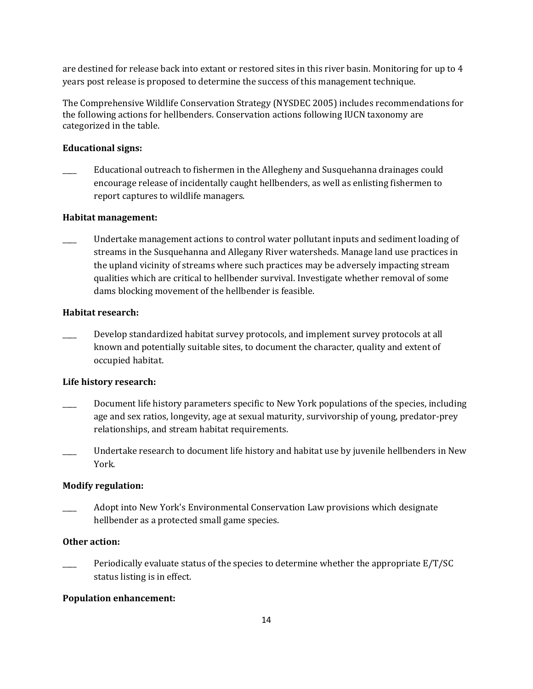are destined for release back into extant or restored sites in this river basin. Monitoring for up to 4 years post release is proposed to determine the success of this management technique.

The Comprehensive Wildlife Conservation Strategy (NYSDEC 2005) includes recommendations for the following actions for hellbenders. Conservation actions following IUCN taxonomy are categorized in the table.

#### **Educational signs:**

\_\_\_\_ Educational outreach to fishermen in the Allegheny and Susquehanna drainages could encourage release of incidentally caught hellbenders, as well as enlisting fishermen to report captures to wildlife managers.

#### **Habitat management:**

Undertake management actions to control water pollutant inputs and sediment loading of streams in the Susquehanna and Allegany River watersheds. Manage land use practices in the upland vicinity of streams where such practices may be adversely impacting stream qualities which are critical to hellbender survival. Investigate whether removal of some dams blocking movement of the hellbender is feasible.

#### **Habitat research:**

Develop standardized habitat survey protocols, and implement survey protocols at all known and potentially suitable sites, to document the character, quality and extent of occupied habitat.

#### **Life history research:**

- \_\_\_\_ Document life history parameters specific to New York populations of the species, including age and sex ratios, longevity, age at sexual maturity, survivorship of young, predator-prey relationships, and stream habitat requirements.
- Undertake research to document life history and habitat use by juvenile hellbenders in New York.

#### **Modify regulation:**

\_\_\_\_ Adopt into New York's Environmental Conservation Law provisions which designate hellbender as a protected small game species.

#### **Other action:**

Periodically evaluate status of the species to determine whether the appropriate E/T/SC status listing is in effect.

#### **Population enhancement:**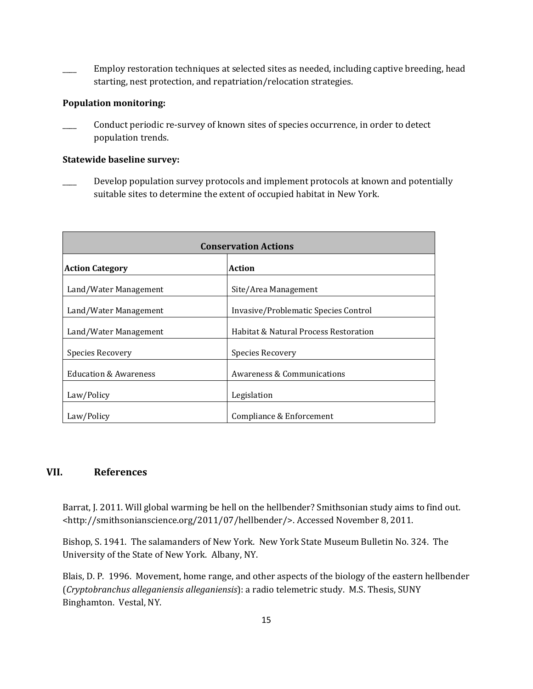Employ restoration techniques at selected sites as needed, including captive breeding, head starting, nest protection, and repatriation/relocation strategies.

#### **Population monitoring:**

Conduct periodic re-survey of known sites of species occurrence, in order to detect population trends.

#### **Statewide baseline survey:**

Develop population survey protocols and implement protocols at known and potentially suitable sites to determine the extent of occupied habitat in New York.

| <b>Conservation Actions</b>      |                                       |  |
|----------------------------------|---------------------------------------|--|
| <b>Action Category</b>           | Action                                |  |
| Land/Water Management            | Site/Area Management                  |  |
| Land/Water Management            | Invasive/Problematic Species Control  |  |
| Land/Water Management            | Habitat & Natural Process Restoration |  |
| Species Recovery                 | Species Recovery                      |  |
| <b>Education &amp; Awareness</b> | Awareness & Communications            |  |
| Law/Policy                       | Legislation                           |  |
| Law/Policy                       | Compliance & Enforcement              |  |

# **VII. References**

Barrat, J. 2011. Will global warming be hell on the hellbender? Smithsonian study aims to find out. <http://smithsonianscience.org/2011/07/hellbender/>. Accessed November 8, 2011.

Bishop, S. 1941. The salamanders of New York. New York State Museum Bulletin No. 324. The University of the State of New York. Albany, NY.

Blais, D. P. 1996. Movement, home range, and other aspects of the biology of the eastern hellbender (*Cryptobranchus alleganiensis alleganiensis*): a radio telemetric study. M.S. Thesis, SUNY Binghamton. Vestal, NY.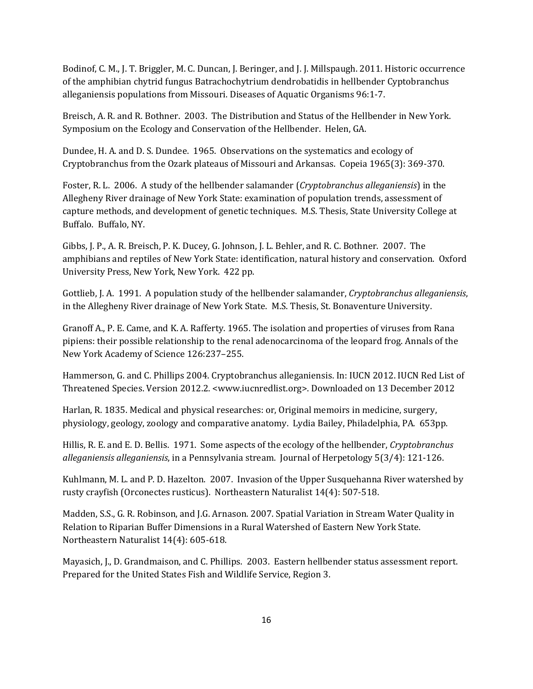Bodinof, C. M., J. T. Briggler, M. C. Duncan, J. Beringer, and J. J. Millspaugh. 2011. Historic occurrence of the amphibian chytrid fungus Batrachochytrium dendrobatidis in hellbender Cyptobranchus alleganiensis populations from Missouri. Diseases of Aquatic Organisms 96:1-7.

Breisch, A. R. and R. Bothner. 2003. The Distribution and Status of the Hellbender in New York. Symposium on the Ecology and Conservation of the Hellbender. Helen, GA.

Dundee, H. A. and D. S. Dundee. 1965. Observations on the systematics and ecology of Cryptobranchus from the Ozark plateaus of Missouri and Arkansas. Copeia 1965(3): 369-370.

Foster, R. L. 2006. A study of the hellbender salamander (*Cryptobranchus alleganiensis*) in the Allegheny River drainage of New York State: examination of population trends, assessment of capture methods, and development of genetic techniques. M.S. Thesis, State University College at Buffalo. Buffalo, NY.

Gibbs, J. P., A. R. Breisch, P. K. Ducey, G. Johnson, J. L. Behler, and R. C. Bothner. 2007. The amphibians and reptiles of New York State: identification, natural history and conservation. Oxford University Press, New York, New York. 422 pp.

Gottlieb, J. A. 1991. A population study of the hellbender salamander, *Cryptobranchus alleganiensis*, in the Allegheny River drainage of New York State. M.S. Thesis, St. Bonaventure University.

Granoff A., P. E. Came, and K. A. Rafferty. 1965. The isolation and properties of viruses from Rana pipiens: their possible relationship to the renal adenocarcinoma of the leopard frog. Annals of the New York Academy of Science 126:237–255.

Hammerson, G. and C. Phillips 2004. Cryptobranchus alleganiensis. In: IUCN 2012. IUCN Red List of Threatened Species. Version 2012.2. [<www.iucnredlist.org>](http://www.iucnredlist.org/). Downloaded on 13 December 2012

Harlan, R. 1835. Medical and physical researches: or, Original memoirs in medicine, surgery, physiology, geology, zoology and comparative anatomy. Lydia Bailey, Philadelphia, PA. 653pp.

Hillis, R. E. and E. D. Bellis. 1971. Some aspects of the ecology of the hellbender, *Cryptobranchus alleganiensis alleganiensis*, in a Pennsylvania stream. Journal of Herpetology 5(3/4): 121-126.

Kuhlmann, M. L. and P. D. Hazelton. 2007. Invasion of the Upper Susquehanna River watershed by rusty crayfish (Orconectes rusticus). Northeastern Naturalist 14(4): 507-518.

Madden, S.S., G. R. Robinson, and J.G. Arnason. 2007. Spatial Variation in Stream Water Quality in Relation to Riparian Buffer Dimensions in a Rural Watershed of Eastern New York State. Northeastern Naturalist 14(4): 605-618.

Mayasich, J., D. Grandmaison, and C. Phillips. 2003. Eastern hellbender status assessment report. Prepared for the United States Fish and Wildlife Service, Region 3.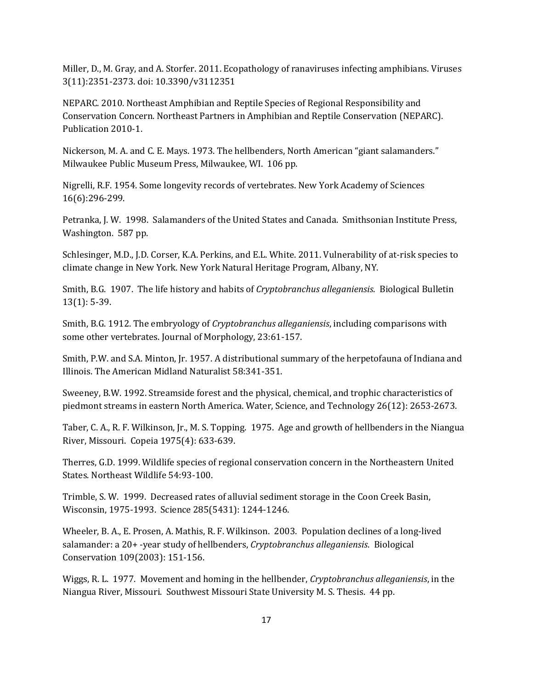Miller, D., M. Gray, and A. Storfer. 2011. Ecopathology of ranaviruses infecting amphibians. Viruses 3(11):2351-2373. doi: 10.3390/v3112351

NEPARC. 2010. Northeast Amphibian and Reptile Species of Regional Responsibility and Conservation Concern. Northeast Partners in Amphibian and Reptile Conservation (NEPARC). Publication 2010-1.

Nickerson, M. A. and C. E. Mays. 1973. The hellbenders, North American "giant salamanders." Milwaukee Public Museum Press, Milwaukee, WI. 106 pp.

Nigrelli, R.F. 1954. Some longevity records of vertebrates. New York Academy of Sciences 16(6):296-299.

Petranka, J. W. 1998. Salamanders of the United States and Canada. Smithsonian Institute Press, Washington. 587 pp.

Schlesinger, M.D., J.D. Corser, K.A. Perkins, and E.L. White. 2011. Vulnerability of at-risk species to climate change in New York. New York Natural Heritage Program, Albany, NY.

Smith, B.G. 1907. The life history and habits of *Cryptobranchus alleganiensis*. Biological Bulletin 13(1): 5-39.

Smith, B.G. 1912. The embryology of *Cryptobranchus alleganiensis*, including comparisons with some other vertebrates. Journal of Morphology, 23:61-157.

Smith, P.W. and S.A. Minton, Jr. 1957. A distributional summary of the herpetofauna of Indiana and Illinois. The American Midland Naturalist 58:341-351.

Sweeney, B.W. 1992. Streamside forest and the physical, chemical, and trophic characteristics of piedmont streams in eastern North America. Water, Science, and Technology 26(12): 2653-2673.

Taber, C. A., R. F. Wilkinson, Jr., M. S. Topping. 1975. Age and growth of hellbenders in the Niangua River, Missouri. Copeia 1975(4): 633-639.

Therres, G.D. 1999. Wildlife species of regional conservation concern in the Northeastern United States. Northeast Wildlife 54:93-100.

Trimble, S. W. 1999. Decreased rates of alluvial sediment storage in the Coon Creek Basin, Wisconsin, 1975-1993. Science 285(5431): 1244-1246.

Wheeler, B. A., E. Prosen, A. Mathis, R. F. Wilkinson. 2003. Population declines of a long-lived salamander: a 20+ -year study of hellbenders, *Cryptobranchus alleganiensis*. Biological Conservation 109(2003): 151-156.

Wiggs, R. L. 1977. Movement and homing in the hellbender, *Cryptobranchus alleganiensis*, in the Niangua River, Missouri. Southwest Missouri State University M. S. Thesis. 44 pp.